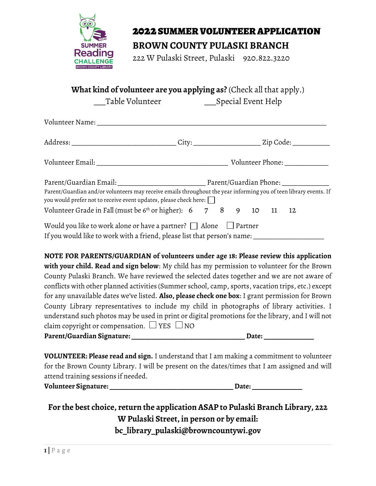

## 2022 SUMMER VOLUNTEER APPLICATION

#### **BROWN COUNTY PULASKI BRANCH**

222 W Pulaski Street, Pulaski 920.822.3220

#### **What kind of volunteer are you applying as?** (Check all that apply.)

Table Volunteer

| Parent/Guardian and/or volunteers may receive emails throughout the year informing you of teen library events. If<br>you would prefer not to receive event updates, please check here: $\Box$ |  |  |  |  |
|-----------------------------------------------------------------------------------------------------------------------------------------------------------------------------------------------|--|--|--|--|
| Volunteer Grade in Fall (must be $6th$ or higher): $6$ 7 8 9 10 11 12                                                                                                                         |  |  |  |  |
| Would you like to work alone or have a partner? $\Box$ Alone $\Box$ Partner<br>If you would like to work with a friend, please list that person's name: ______________                        |  |  |  |  |

**NOTE FOR PARENTS/GUARDIAN of volunteers under age 18: Please review this application with your child. Read and sign below**: My child has my permission to volunteer for the Brown County Pulaski Branch. We have reviewed the selected dates together and we are not aware of conflicts with other planned activities (Summer school, camp, sports, vacation trips, etc.) except for any unavailable dates we've listed. **Also, please check one box**: I grant permission for Brown County Library representatives to include my child in photographs of library activities. I understand such photos may be used in print or digital promotions for the library, and I will not claim copyright or compensation.  $\Box$  YES  $\Box$  NO

**Parent/Guardian Signature: \_\_\_\_\_\_\_\_\_\_\_\_\_\_\_\_\_\_\_\_\_\_\_\_\_\_\_\_\_\_\_\_\_\_ Date: \_\_\_\_\_\_\_\_\_\_\_\_\_\_\_**

**VOLUNTEER: Please read and sign.** I understand that I am making a commitment to volunteer for the Brown County Library. I will be present on the dates/times that I am assigned and will attend training sessions if needed.

**Volunteer Signature: \_\_\_\_\_\_\_\_\_\_\_\_\_\_\_\_\_\_\_\_\_\_\_\_\_\_\_\_\_\_\_\_\_\_\_\_\_ Date: \_\_\_\_\_\_\_\_\_\_\_\_\_\_\_**

**For the best choice, return the application ASAP to Pulaski Branch Library, 222 W Pulaski Street, in person or by email: bc\_library\_pulaski@browncountywi.gov**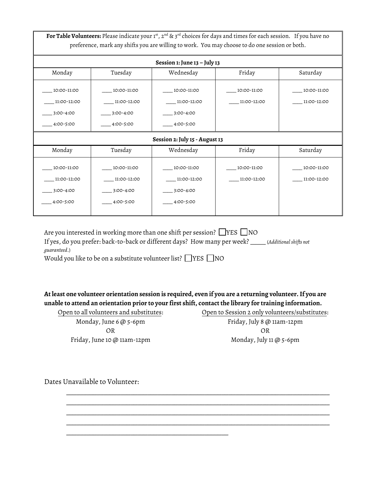For Table Volunteers: Please indicate your 1st, 2<sup>nd</sup> & 3<sup>rd</sup> choices for days and times for each session. If you have no preference, mark any shifts you are willing to work. You may choose to do one session or both.

|                                                      |                                                      | Session 1: June 13 - July 13                         |                            |                            |
|------------------------------------------------------|------------------------------------------------------|------------------------------------------------------|----------------------------|----------------------------|
| Monday                                               | Tuesday                                              | Wednesday                                            | Friday                     | Saturday                   |
| 10:00-11:00<br>11:00-12:00<br>3:00-4:00<br>4:00-5:00 | 10:00-11:00<br>11:00-12:00<br>3:00-4:00<br>4:00-5:00 | 10:00-11:00<br>11:00-12:00<br>3:00-4:00<br>4:00-5:00 | 10:00-11:00<br>11:00-12:00 | 10:00-11:00<br>11:00-12:00 |
|                                                      |                                                      | Session 2: July 15 - August 13                       |                            |                            |
| Monday                                               | Tuesday                                              | Wednesday                                            | Friday                     | Saturday                   |
| 10:00-11:00<br>11:00-12:00<br>3:00-4:00<br>4:00-5:00 | 10:00-11:00<br>11:00-12:00<br>3:00-4:00<br>4:00-5:00 | 10:00-11:00<br>11:00-12:00<br>3:00-4:00<br>4:00-5:00 | 10:00-11:00<br>11:00-12:00 | 10:00-11:00<br>11:00-12:00 |

| Are you interested in working more than one shift per session? $\Box$ YES $\Box$ NO                   |
|-------------------------------------------------------------------------------------------------------|
| If yes, do you prefer: back-to-back or different days? How many per week? _____(Additional shifts not |
| guaranteed.)                                                                                          |

Would you like to be on a substitute volunteer list?  $\Box$ YES  $\Box$ NO

 $\frac{1}{2}$ 

**At least one volunteer orientation session is required, even if you are a returning volunteer. If you are unable to attend an orientation prior to your first shift, contact the library for training information.**

\_\_\_\_\_\_\_\_\_\_\_\_\_\_\_\_\_\_\_\_\_\_\_\_\_\_\_\_\_\_\_\_\_\_\_\_\_\_\_\_\_\_\_\_\_\_\_\_\_\_\_\_\_\_\_\_\_\_\_\_\_\_\_\_\_\_\_\_\_\_\_\_\_\_\_\_\_\_ \_\_\_\_\_\_\_\_\_\_\_\_\_\_\_\_\_\_\_\_\_\_\_\_\_\_\_\_\_\_\_\_\_\_\_\_\_\_\_\_\_\_\_\_\_\_\_\_\_\_\_\_\_\_\_\_\_\_\_\_\_\_\_\_\_\_\_\_\_\_\_\_\_\_\_\_\_\_ \_\_\_\_\_\_\_\_\_\_\_\_\_\_\_\_\_\_\_\_\_\_\_\_\_\_\_\_\_\_\_\_\_\_\_\_\_\_\_\_\_\_\_\_\_\_\_\_\_\_\_\_\_\_\_\_\_\_\_\_\_\_\_\_\_\_\_\_\_\_\_\_\_\_\_\_\_\_ \_\_\_\_\_\_\_\_\_\_\_\_\_\_\_\_\_\_\_\_\_\_\_\_\_\_\_\_\_\_\_\_\_\_\_\_\_\_\_\_\_\_\_\_\_\_\_\_\_\_\_\_\_\_\_\_\_\_\_\_\_\_\_\_\_\_\_\_\_\_\_\_\_\_\_\_\_\_

Open to all volunteers and substitutes: Monday, June 6 @ 5-6pm OR Friday, June 10 @ 11am-12pm

Open to Session 2 only volunteers/substitutes: Friday, July 8 @ 11am-12pm OR Monday, July 11 @ 5-6pm

Dates Unavailable to Volunteer: